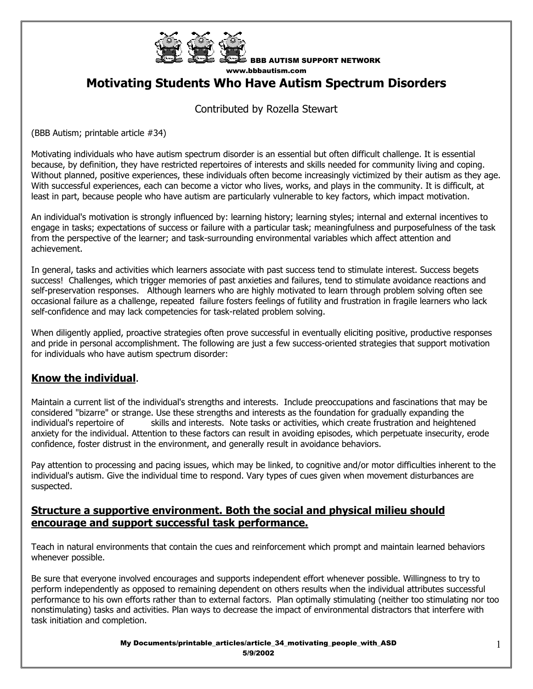

BBB AUTISM SUPPORT NETWORK www.bbbautism.com

# **Motivating Students Who Have Autism Spectrum Disorders**

### Contributed by Rozella Stewart

(BBB Autism; printable article #34)

Motivating individuals who have autism spectrum disorder is an essential but often difficult challenge. It is essential because, by definition, they have restricted repertoires of interests and skills needed for community living and coping. Without planned, positive experiences, these individuals often become increasingly victimized by their autism as they age. With successful experiences, each can become a victor who lives, works, and plays in the community. It is difficult, at least in part, because people who have autism are particularly vulnerable to key factors, which impact motivation.

An individual's motivation is strongly influenced by: learning history; learning styles; internal and external incentives to engage in tasks; expectations of success or failure with a particular task; meaningfulness and purposefulness of the task from the perspective of the learner; and task-surrounding environmental variables which affect attention and achievement.

In general, tasks and activities which learners associate with past success tend to stimulate interest. Success begets success! Challenges, which trigger memories of past anxieties and failures, tend to stimulate avoidance reactions and self-preservation responses. Although learners who are highly motivated to learn through problem solving often see occasional failure as a challenge, repeated failure fosters feelings of futility and frustration in fragile learners who lack self-confidence and may lack competencies for task-related problem solving.

When diligently applied, proactive strategies often prove successful in eventually eliciting positive, productive responses and pride in personal accomplishment. The following are just a few success-oriented strategies that support motivation for individuals who have autism spectrum disorder:

#### **Know the individual**.

Maintain a current list of the individual's strengths and interests. Include preoccupations and fascinations that may be considered "bizarre" or strange. Use these strengths and interests as the foundation for gradually expanding the individual's repertoire of skills and interests. Note tasks or activities, which create frustration and heightened anxiety for the individual. Attention to these factors can result in avoiding episodes, which perpetuate insecurity, erode confidence, foster distrust in the environment, and generally result in avoidance behaviors.

Pay attention to processing and pacing issues, which may be linked, to cognitive and/or motor difficulties inherent to the individual's autism. Give the individual time to respond. Vary types of cues given when movement disturbances are suspected.

#### **Structure a supportive environment. Both the social and physical milieu should encourage and support successful task performance.**

Teach in natural environments that contain the cues and reinforcement which prompt and maintain learned behaviors whenever possible.

Be sure that everyone involved encourages and supports independent effort whenever possible. Willingness to try to perform independently as opposed to remaining dependent on others results when the individual attributes successful performance to his own efforts rather than to external factors. Plan optimally stimulating (neither too stimulating nor too nonstimulating) tasks and activities. Plan ways to decrease the impact of environmental distractors that interfere with task initiation and completion.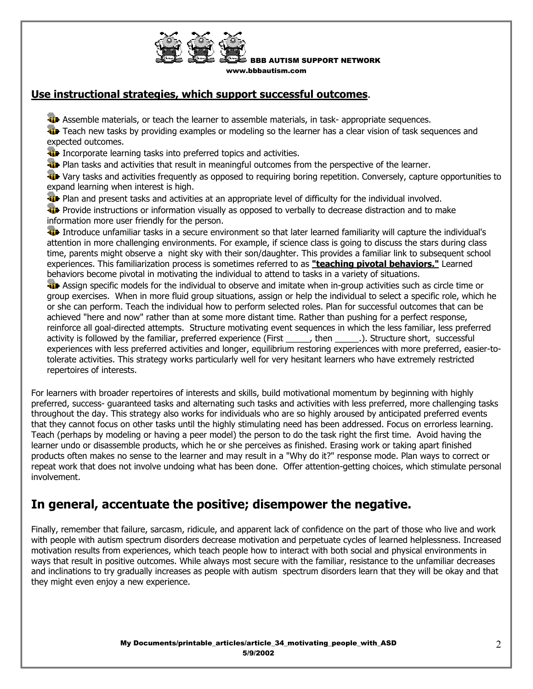

BBB AUTISM SUPPORT NETWORK www.bbbautism.com

### **Use instructional strategies, which support successful outcomes**.

**As Assemble materials, or teach the learner to assemble materials, in task- appropriate sequences.** 

Teach new tasks by providing examples or modeling so the learner has a clear vision of task sequences and expected outcomes.

**I** Incorporate learning tasks into preferred topics and activities.

**Plan tasks and activities that result in meaningful outcomes from the perspective of the learner.** 

**W** Vary tasks and activities frequently as opposed to requiring boring repetition. Conversely, capture opportunities to expand learning when interest is high.

**Plan and present tasks and activities at an appropriate level of difficulty for the individual involved.** 

**Provide instructions or information visually as opposed to verbally to decrease distraction and to make** information more user friendly for the person.

Introduce unfamiliar tasks in a secure environment so that later learned familiarity will capture the individual's attention in more challenging environments. For example, if science class is going to discuss the stars during class time, parents might observe a night sky with their son/daughter. This provides a familiar link to subsequent school experiences. This familiarization process is sometimes referred to as **"teaching pivotal behaviors."** Learned behaviors become pivotal in motivating the individual to attend to tasks in a variety of situations.

Assign specific models for the individual to observe and imitate when in-group activities such as circle time or group exercises. When in more fluid group situations, assign or help the individual to select a specific role, which he or she can perform. Teach the individual how to perform selected roles. Plan for successful outcomes that can be achieved "here and now" rather than at some more distant time. Rather than pushing for a perfect response, reinforce all goal-directed attempts. Structure motivating event sequences in which the less familiar, less preferred activity is followed by the familiar, preferred experience (First \_\_\_\_\_, then \_\_\_\_\_\_.). Structure short, successful experiences with less preferred activities and longer, equilibrium restoring experiences with more preferred, easier-totolerate activities. This strategy works particularly well for very hesitant learners who have extremely restricted repertoires of interests.

For learners with broader repertoires of interests and skills, build motivational momentum by beginning with highly preferred, success- guaranteed tasks and alternating such tasks and activities with less preferred, more challenging tasks throughout the day. This strategy also works for individuals who are so highly aroused by anticipated preferred events that they cannot focus on other tasks until the highly stimulating need has been addressed. Focus on errorless learning. Teach (perhaps by modeling or having a peer model) the person to do the task right the first time. Avoid having the learner undo or disassemble products, which he or she perceives as finished. Erasing work or taking apart finished products often makes no sense to the learner and may result in a "Why do it?" response mode. Plan ways to correct or repeat work that does not involve undoing what has been done. Offer attention-getting choices, which stimulate personal involvement.

## **In general, accentuate the positive; disempower the negative.**

Finally, remember that failure, sarcasm, ridicule, and apparent lack of confidence on the part of those who live and work with people with autism spectrum disorders decrease motivation and perpetuate cycles of learned helplessness. Increased motivation results from experiences, which teach people how to interact with both social and physical environments in ways that result in positive outcomes. While always most secure with the familiar, resistance to the unfamiliar decreases and inclinations to try gradually increases as people with autism spectrum disorders learn that they will be okay and that they might even enjoy a new experience.